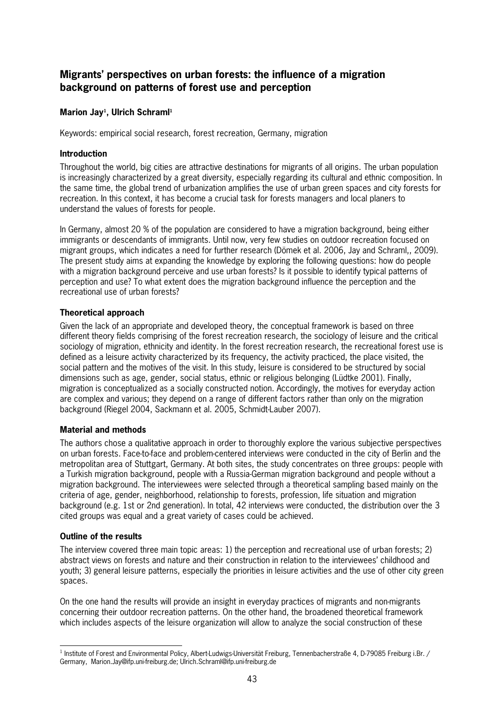# **Migrants' perspectives on urban forests: the influence of a migration background on patterns of forest use and perception**

## **Marion Jay<sup>1</sup> , Ulrich Schraml<sup>1</sup>**

Keywords: empirical social research, forest recreation, Germany, migration

#### **Introduction**

Throughout the world, big cities are attractive destinations for migrants of all origins. The urban population is increasingly characterized by a great diversity, especially regarding its cultural and ethnic composition. In the same time, the global trend of urbanization amplifies the use of urban green spaces and city forests for recreation. In this context, it has become a crucial task for forests managers and local planers to understand the values of forests for people.

In Germany, almost 20 % of the population are considered to have a migration background, being either immigrants or descendants of immigrants. Until now, very few studies on outdoor recreation focused on migrant groups, which indicates a need for further research (Dömek et al. 2006, Jay and Schraml,, 2009). The present study aims at expanding the knowledge by exploring the following questions: how do people with a migration background perceive and use urban forests? Is it possible to identify typical patterns of perception and use? To what extent does the migration background influence the perception and the recreational use of urban forests?

### **Theoretical approach**

Given the lack of an appropriate and developed theory, the conceptual framework is based on three different theory fields comprising of the forest recreation research, the sociology of leisure and the critical sociology of migration, ethnicity and identity. In the forest recreation research, the recreational forest use is defined as a leisure activity characterized by its frequency, the activity practiced, the place visited, the social pattern and the motives of the visit. In this study, leisure is considered to be structured by social dimensions such as age, gender, social status, ethnic or religious belonging (Lüdtke 2001). Finally, migration is conceptualized as a socially constructed notion. Accordingly, the motives for everyday action are complex and various; they depend on a range of different factors rather than only on the migration background (Riegel 2004, Sackmann et al. 2005, Schmidt-Lauber 2007).

### **Material and methods**

The authors chose a qualitative approach in order to thoroughly explore the various subjective perspectives on urban forests. Facetoface and problemcentered interviews were conducted in the city of Berlin and the metropolitan area of Stuttgart, Germany. At both sites, the study concentrates on three groups: people with a Turkish migration background, people with a RussiaGerman migration background and people without a migration background. The interviewees were selected through a theoretical sampling based mainly on the criteria of age, gender, neighborhood, relationship to forests, profession, life situation and migration background (e.g. 1st or 2nd generation). In total, 42 interviews were conducted, the distribution over the 3 cited groups was equal and a great variety of cases could be achieved.

#### **Outline of the results**

The interview covered three main topic areas: 1) the perception and recreational use of urban forests; 2) abstract views on forests and nature and their construction in relation to the interviewees' childhood and youth; 3) general leisure patterns, especially the priorities in leisure activities and the use of other city green spaces.

On the one hand the results will provide an insight in everyday practices of migrants and nonmigrants concerning their outdoor recreation patterns. On the other hand, the broadened theoretical framework which includes aspects of the leisure organization will allow to analyze the social construction of these

 $\overline{a}$ <sup>1</sup> Institute of Forest and Environmental Policy, Albert-Ludwigs-Universität Freiburg, Tennenbacherstraße 4, D-79085 Freiburg i.Br. / Germany, Marion.Jay@ifp.unifreiburg.de; Ulrich.Schraml@ifp.unifreiburg.de